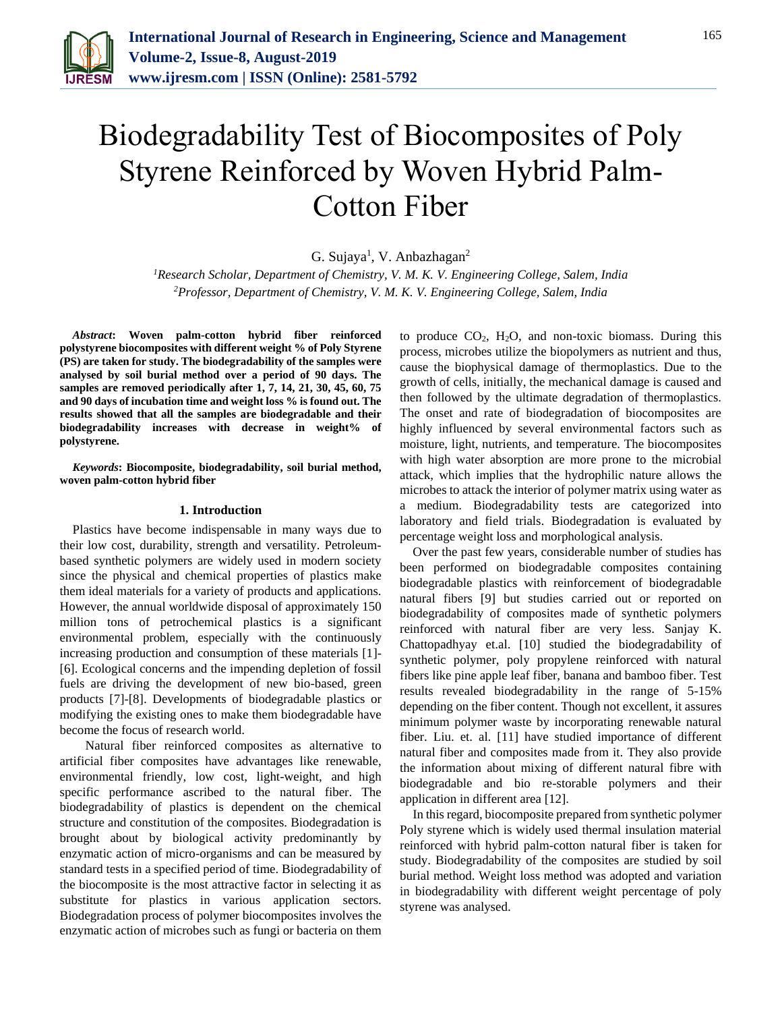

# Biodegradability Test of Biocomposites of Poly Styrene Reinforced by Woven Hybrid Palm-Cotton Fiber

G. Sujaya<sup>1</sup>, V. Anbazhagan<sup>2</sup>

*<sup>1</sup>Research Scholar, Department of Chemistry, V. M. K. V. Engineering College, Salem, India 2Professor, Department of Chemistry, V. M. K. V. Engineering College, Salem, India*

*Abstract***: Woven palm-cotton hybrid fiber reinforced polystyrene biocomposites with different weight % of Poly Styrene (PS) are taken for study. The biodegradability of the samples were analysed by soil burial method over a period of 90 days. The samples are removed periodically after 1, 7, 14, 21, 30, 45, 60, 75 and 90 days of incubation time and weight loss % is found out. The results showed that all the samples are biodegradable and their biodegradability increases with decrease in weight% of polystyrene.**

*Keywords***: Biocomposite, biodegradability, soil burial method, woven palm-cotton hybrid fiber**

### **1. Introduction**

Plastics have become indispensable in many ways due to their low cost, durability, strength and versatility. Petroleumbased synthetic polymers are widely used in modern society since the physical and chemical properties of plastics make them ideal materials for a variety of products and applications. However, the annual worldwide disposal of approximately 150 million tons of petrochemical plastics is a significant environmental problem, especially with the continuously increasing production and consumption of these materials [1]- [6]. Ecological concerns and the impending depletion of fossil fuels are driving the development of new bio-based, green products [7]-[8]. Developments of biodegradable plastics or modifying the existing ones to make them biodegradable have become the focus of research world.

 Natural fiber reinforced composites as alternative to artificial fiber composites have advantages like renewable, environmental friendly, low cost, light-weight, and high specific performance ascribed to the natural fiber. The biodegradability of plastics is dependent on the chemical structure and constitution of the composites. Biodegradation is brought about by biological activity predominantly by enzymatic action of micro-organisms and can be measured by standard tests in a specified period of time. Biodegradability of the biocomposite is the most attractive factor in selecting it as substitute for plastics in various application sectors. Biodegradation process of polymer biocomposites involves the enzymatic action of microbes such as fungi or bacteria on them

to produce  $CO<sub>2</sub>$ ,  $H<sub>2</sub>O$ , and non-toxic biomass. During this process, microbes utilize the biopolymers as nutrient and thus, cause the biophysical damage of thermoplastics. Due to the growth of cells, initially, the mechanical damage is caused and then followed by the ultimate degradation of thermoplastics. The onset and rate of biodegradation of biocomposites are highly influenced by several environmental factors such as moisture, light, nutrients, and temperature. The biocomposites with high water absorption are more prone to the microbial attack, which implies that the hydrophilic nature allows the microbes to attack the interior of polymer matrix using water as a medium. Biodegradability tests are categorized into laboratory and field trials. Biodegradation is evaluated by percentage weight loss and morphological analysis.

Over the past few years, considerable number of studies has been performed on biodegradable composites containing biodegradable plastics with reinforcement of biodegradable natural fibers [9] but studies carried out or reported on biodegradability of composites made of synthetic polymers reinforced with natural fiber are very less. Sanjay K. Chattopadhyay et.al. [10] studied the biodegradability of synthetic polymer, poly propylene reinforced with natural fibers like pine apple leaf fiber, banana and bamboo fiber. Test results revealed biodegradability in the range of 5-15% depending on the fiber content. Though not excellent, it assures minimum polymer waste by incorporating renewable natural fiber. Liu. et. al. [11] have studied importance of different natural fiber and composites made from it. They also provide the information about mixing of different natural fibre with biodegradable and bio re-storable polymers and their application in different area [12].

In this regard, biocomposite prepared from synthetic polymer Poly styrene which is widely used thermal insulation material reinforced with hybrid palm-cotton natural fiber is taken for study. Biodegradability of the composites are studied by soil burial method. Weight loss method was adopted and variation in biodegradability with different weight percentage of poly styrene was analysed.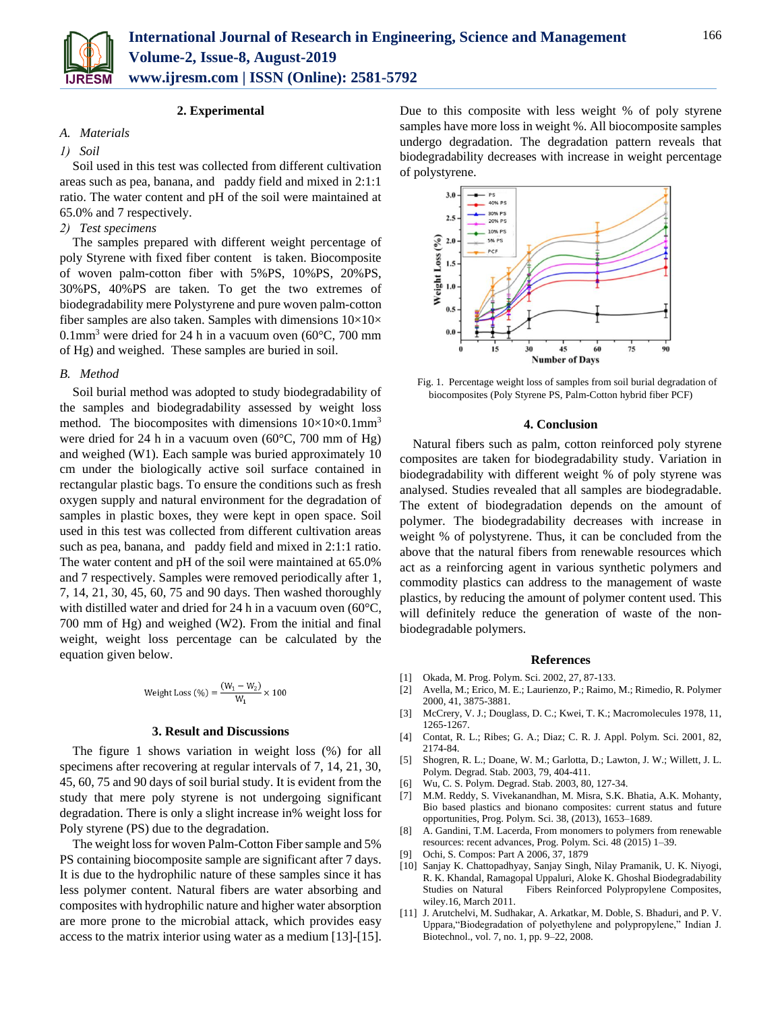

## *A. Materials*

## *1) Soil*

Soil used in this test was collected from different cultivation areas such as pea, banana, and paddy field and mixed in 2:1:1 ratio. The water content and pH of the soil were maintained at 65.0% and 7 respectively.

## *2) Test specimens*

The samples prepared with different weight percentage of poly Styrene with fixed fiber content is taken. Biocomposite of woven palm-cotton fiber with 5%PS, 10%PS, 20%PS, 30%PS, 40%PS are taken. To get the two extremes of biodegradability mere Polystyrene and pure woven palm-cotton fiber samples are also taken. Samples with dimensions  $10\times10\times$ 0.1mm<sup>3</sup> were dried for 24 h in a vacuum oven (60 $^{\circ}$ C, 700 mm of Hg) and weighed. These samples are buried in soil.

### *B. Method*

Soil burial method was adopted to study biodegradability of the samples and biodegradability assessed by weight loss method. The biocomposites with dimensions  $10\times10\times0.1$ mm<sup>3</sup> were dried for 24 h in a vacuum oven (60°C, 700 mm of Hg) and weighed (W1). Each sample was buried approximately 10 cm under the biologically active soil surface contained in rectangular plastic bags. To ensure the conditions such as fresh oxygen supply and natural environment for the degradation of samples in plastic boxes, they were kept in open space. Soil used in this test was collected from different cultivation areas such as pea, banana, and paddy field and mixed in 2:1:1 ratio. The water content and pH of the soil were maintained at 65.0% and 7 respectively. Samples were removed periodically after 1, 7, 14, 21, 30, 45, 60, 75 and 90 days. Then washed thoroughly with distilled water and dried for 24 h in a vacuum oven (60<sup>o</sup>C, 700 mm of Hg) and weighed (W2). From the initial and final weight, weight loss percentage can be calculated by the equation given below.

Weight Loss (
$$
\%
$$
) =  $\frac{(W_1 - W_2)}{W_1} \times 100$ 

#### **3. Result and Discussions**

The figure 1 shows variation in weight loss (%) for all specimens after recovering at regular intervals of 7, 14, 21, 30, 45, 60, 75 and 90 days of soil burial study. It is evident from the study that mere poly styrene is not undergoing significant degradation. There is only a slight increase in% weight loss for Poly styrene (PS) due to the degradation.

The weight loss for woven Palm-Cotton Fiber sample and 5% PS containing biocomposite sample are significant after 7 days. It is due to the hydrophilic nature of these samples since it has less polymer content. Natural fibers are water absorbing and composites with hydrophilic nature and higher water absorption are more prone to the microbial attack, which provides easy access to the matrix interior using water as a medium [13]-[15]. Due to this composite with less weight % of poly styrene samples have more loss in weight %. All biocomposite samples undergo degradation. The degradation pattern reveals that biodegradability decreases with increase in weight percentage of polystyrene.



Fig. 1. Percentage weight loss of samples from soil burial degradation of biocomposites (Poly Styrene PS, Palm-Cotton hybrid fiber PCF)

#### **4. Conclusion**

Natural fibers such as palm, cotton reinforced poly styrene composites are taken for biodegradability study. Variation in biodegradability with different weight % of poly styrene was analysed. Studies revealed that all samples are biodegradable. The extent of biodegradation depends on the amount of polymer. The biodegradability decreases with increase in weight % of polystyrene. Thus, it can be concluded from the above that the natural fibers from renewable resources which act as a reinforcing agent in various synthetic polymers and commodity plastics can address to the management of waste plastics, by reducing the amount of polymer content used. This will definitely reduce the generation of waste of the nonbiodegradable polymers.

#### **References**

- [1] Okada, M. Prog. Polym. Sci. 2002, 27, 87-133.
- [2] Avella, M.; Erico, M. E.; Laurienzo, P.; Raimo, M.; Rimedio, R. Polymer 2000, 41, 3875-3881.
- [3] McCrery, V. J.; Douglass, D. C.; Kwei, T. K.; Macromolecules 1978, 11, 1265-1267.
- [4] Contat, R. L.; Ribes; G. A.; Diaz; C. R. J. Appl. Polym. Sci. 2001, 82, 2174-84.
- [5] Shogren, R. L.; Doane, W. M.; Garlotta, D.; Lawton, J. W.; Willett, J. L. Polym. Degrad. Stab. 2003, 79, 404-411.
- [6] Wu, C. S. Polym. Degrad. Stab. 2003, 80, 127-34.
- [7] M.M. Reddy, S. Vivekanandhan, M. Misra, S.K. Bhatia, A.K. Mohanty, Bio based plastics and bionano composites: current status and future opportunities, Prog. Polym. Sci. 38, (2013), 1653–1689.
- [8] A. Gandini, T.M. Lacerda, From monomers to polymers from renewable resources: recent advances, Prog. Polym. Sci. 48 (2015) 1–39.
- [9] Ochi, S. Compos: Part A 2006, 37, 1879
- [10] Sanjay K. Chattopadhyay, Sanjay Singh, Nilay Pramanik, U. K. Niyogi, R. K. Khandal, Ramagopal Uppaluri, Aloke K. Ghoshal Biodegradability Studies on Natural Fibers Reinforced Polypropylene Composites, wiley.16, March 2011.
- [11] J. Arutchelvi, M. Sudhakar, A. Arkatkar, M. Doble, S. Bhaduri, and P. V. Uppara,"Biodegradation of polyethylene and polypropylene," Indian J. Biotechnol., vol. 7, no. 1, pp. 9–22, 2008.